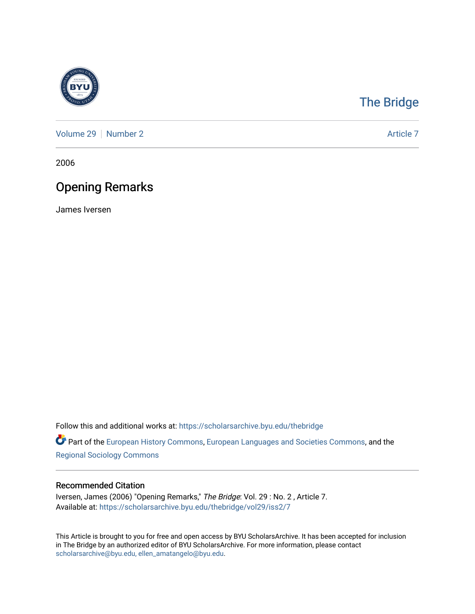

# [The Bridge](https://scholarsarchive.byu.edu/thebridge)

[Volume 29](https://scholarsarchive.byu.edu/thebridge/vol29) | [Number 2](https://scholarsarchive.byu.edu/thebridge/vol29/iss2) Article 7

2006

## Opening Remarks

James Iversen

Follow this and additional works at: [https://scholarsarchive.byu.edu/thebridge](https://scholarsarchive.byu.edu/thebridge?utm_source=scholarsarchive.byu.edu%2Fthebridge%2Fvol29%2Fiss2%2F7&utm_medium=PDF&utm_campaign=PDFCoverPages) 

**Part of the [European History Commons](http://network.bepress.com/hgg/discipline/492?utm_source=scholarsarchive.byu.edu%2Fthebridge%2Fvol29%2Fiss2%2F7&utm_medium=PDF&utm_campaign=PDFCoverPages), [European Languages and Societies Commons,](http://network.bepress.com/hgg/discipline/482?utm_source=scholarsarchive.byu.edu%2Fthebridge%2Fvol29%2Fiss2%2F7&utm_medium=PDF&utm_campaign=PDFCoverPages) and the** [Regional Sociology Commons](http://network.bepress.com/hgg/discipline/427?utm_source=scholarsarchive.byu.edu%2Fthebridge%2Fvol29%2Fiss2%2F7&utm_medium=PDF&utm_campaign=PDFCoverPages) 

#### Recommended Citation

Iversen, James (2006) "Opening Remarks," The Bridge: Vol. 29 : No. 2 , Article 7. Available at: [https://scholarsarchive.byu.edu/thebridge/vol29/iss2/7](https://scholarsarchive.byu.edu/thebridge/vol29/iss2/7?utm_source=scholarsarchive.byu.edu%2Fthebridge%2Fvol29%2Fiss2%2F7&utm_medium=PDF&utm_campaign=PDFCoverPages) 

This Article is brought to you for free and open access by BYU ScholarsArchive. It has been accepted for inclusion in The Bridge by an authorized editor of BYU ScholarsArchive. For more information, please contact [scholarsarchive@byu.edu, ellen\\_amatangelo@byu.edu](mailto:scholarsarchive@byu.edu,%20ellen_amatangelo@byu.edu).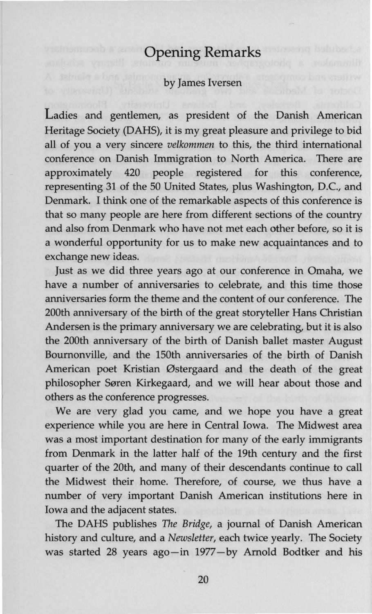### **Opening Remarks**

#### by James Iversen

Ladies and gentlemen, as president of the Danish American Heritage Society (DAHS), it is my great pleasure and privilege to bid all of you a very sincere *velkommen* to this, the third international conference on Danish Immigration to North America. There are approximately 420 people registered for this conference, representing 31 of the 50 United States, plus Washington, D.C., and Denmark. I think one of the remarkable aspects of this conference is that so many people are here from different sections of the country and also from Denmark who have not met each other before, so it is a wonderful opportunity for us to make new acquaintances and to exchange new ideas.

Just as we did three years ago at our conference in Omaha, we have a number of anniversaries to celebrate, and this time those anniversaries form the theme and the content of our conference. The 200th anniversary of the birth of the great storyteller Hans Christian Andersen is the primary anniversary we are celebrating, but it is also the 200th anniversary of the birth of Danish ballet master August Bournonville, and the 150th anniversaries of the birth of Danish American poet Kristian Østergaard and the death of the great philosopher Søren Kirkegaard, and we will hear about those and others as the conference progresses.

We are very glad you came, and we hope you have a great experience while you are here in Central Iowa. The Midwest area was a most important destination for many of the early immigrants from Denmark in the latter half of the 19th century and the first quarter of the 20th, and many of their descendants continue to call the Midwest their home. Therefore, of course, we thus have a number of very important Danish American institutions here in Iowa and the adjacent states.

The DAHS publishes The *Bridge,* a journal of Danish American history and culture, and a *Newsletter,* each twice yearly. The Society was started 28 years ago-in 1977-by Arnold Bodtker and his